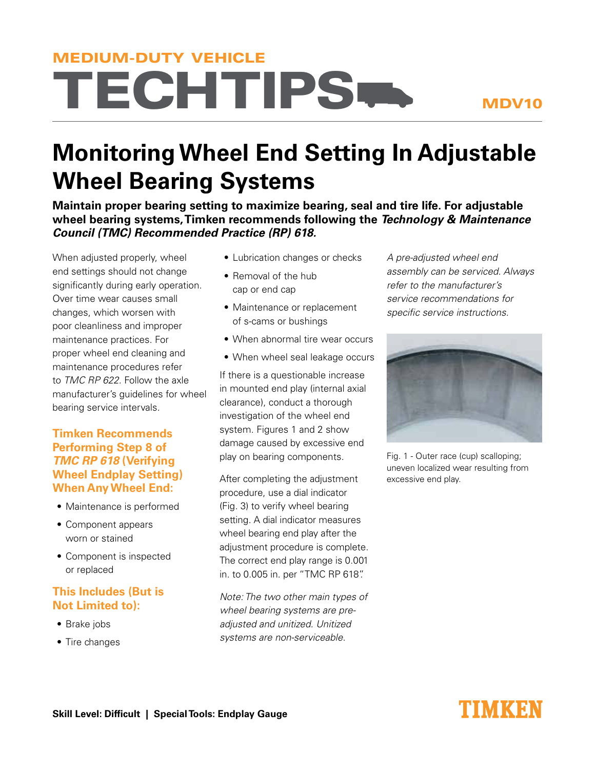# **TECHTIPS.** MEDIUM-DUTY VEHICLE

#### MDV10

## **Monitoring Wheel End Setting In Adjustable Wheel Bearing Systems**

**Maintain proper bearing setting to maximize bearing, seal and tire life. For adjustable wheel bearing systems, Timken recommends following the Technology & Maintenance Council (TMC) Recommended Practice (RP) 618.** 

When adjusted properly, wheel end settings should not change significantly during early operation. Over time wear causes small changes, which worsen with poor cleanliness and improper maintenance practices. For proper wheel end cleaning and maintenance procedures refer to TMC RP 622. Follow the axle manufacturer's guidelines for wheel bearing service intervals.

#### **Timken Recommends Performing Step 8 of TMC RP 618 (Verifying Wheel Endplay Setting) When Any Wheel End:**

- • Maintenance is performed
- • Component appears worn or stained
- Component is inspected or replaced

#### **This Includes (But is Not Limited to):**

- Brake jobs
- Tire changes
- Lubrication changes or checks
- Removal of the hub cap or end cap
- Maintenance or replacement of s-cams or bushings
- When abnormal tire wear occurs
- When wheel seal leakage occurs

If there is a questionable increase in mounted end play (internal axial clearance), conduct a thorough investigation of the wheel end system. Figures 1 and 2 show damage caused by excessive end play on bearing components.

After completing the adjustment procedure, use a dial indicator (Fig. 3) to verify wheel bearing setting. A dial indicator measures wheel bearing end play after the adjustment procedure is complete. The correct end play range is 0.001 in. to 0.005 in. per "TMC RP 618".

Note: The two other main types of wheel bearing systems are preadjusted and unitized. Unitized systems are non-serviceable.

A pre-adjusted wheel end assembly can be serviced. Always refer to the manufacturer's service recommendations for specific service instructions.



Fig. 1 - Outer race (cup) scalloping; uneven localized wear resulting from excessive end play.

### TIMKEN